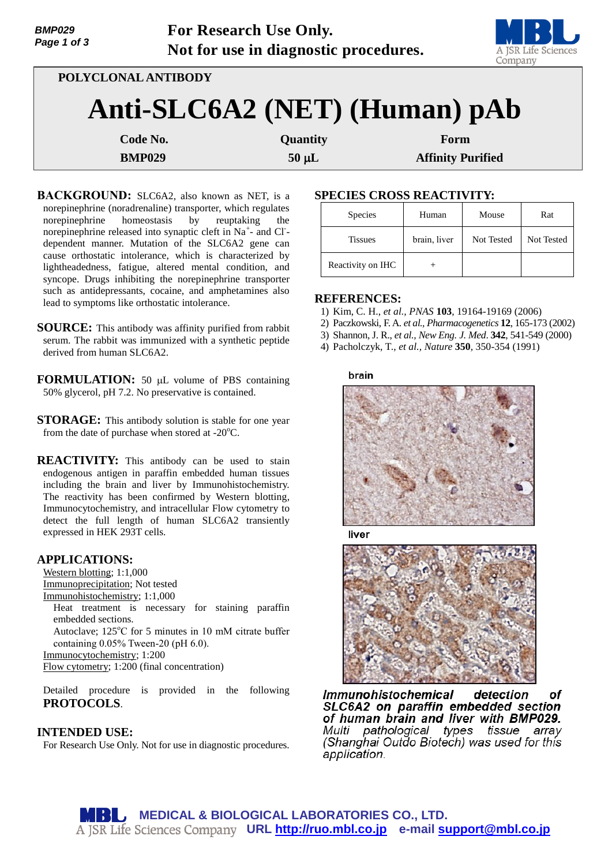| <b>BMP029</b><br>Page 1 of 3 |                     | For Research Use Only.<br>Not for use in diagnostic procedures. | A JSR Life Sciences<br>Company |
|------------------------------|---------------------|-----------------------------------------------------------------|--------------------------------|
|                              | POLYCLONAL ANTIBODY |                                                                 |                                |
|                              |                     | Anti-SLC6A2 (NET) (Human) pAb                                   |                                |
|                              | Code No.            | Quantity                                                        | Form                           |
|                              | <b>BMP029</b>       | $50 \mu L$                                                      | <b>Affinity Purified</b>       |

- **BACKGROUND:** SLC6A2, also known as NET, is a norepinephrine (noradrenaline) transporter, which regulates norepinephrine homeostasis by reuptaking the norepinephrine released into synaptic cleft in Na<sup>+</sup>- and Cl<sup>-</sup>dependent manner. Mutation of the SLC6A2 gene can cause orthostatic intolerance, which is characterized by lightheadedness, fatigue, altered mental condition, and syncope. Drugs inhibiting the norepinephrine transporter such as antidepressants, cocaine, and amphetamines also lead to symptoms like orthostatic intolerance.
- **SOURCE:** This antibody was affinity purified from rabbit serum. The rabbit was immunized with a synthetic peptide derived from human SLC6A2.
- **FORMULATION:** 50 µL volume of PBS containing 50% glycerol, pH 7.2. No preservative is contained.
- **STORAGE:** This antibody solution is stable for one year from the date of purchase when stored at - $20^{\circ}$ C.
- **REACTIVITY:** This antibody can be used to stain endogenous antigen in paraffin embedded human tissues including the brain and liver by Immunohistochemistry. The reactivity has been confirmed by Western blotting, Immunocytochemistry, and intracellular Flow cytometry to detect the full length of human SLC6A2 transiently expressed in HEK 293T cells.

## **APPLICATIONS:**

Western blotting; 1:1,000 Immunoprecipitation; Not tested Immunohistochemistry; 1:1,000 Heat treatment is necessary for staining paraffin embedded sections. Autoclave;  $125^{\circ}$ C for 5 minutes in 10 mM citrate buffer containing 0.05% Tween-20 (pH 6.0). Immunocytochemistry; 1:200 Flow cytometry; 1:200 (final concentration)

Detailed procedure is provided in the following **PROTOCOLS**.

## **INTENDED USE:**

For Research Use Only. Not for use in diagnostic procedures.

# **SPECIES CROSS REACTIVITY:**

| Species           | Human        | Mouse      | Rat        |
|-------------------|--------------|------------|------------|
| <b>Tissues</b>    | brain, liver | Not Tested | Not Tested |
| Reactivity on IHC |              |            |            |

## **REFERENCES:**

- 1) Kim, C. H., *et al., PNAS* **103**, 19164-19169 (2006)
- 2) Paczkowski, F. A. *et al., Pharmacogenetics* **12**, 165-173 (2002)
- 3) Shannon, J. R., *et al., New Eng. J. Med*. **342**, 541-549 (2000)
- 4) Pacholczyk, T., *et al., Nature* **350**, 350-354 (1991)



liver



**Immunohistochemical** detection nf SLC6A2 on paraffin embedded section of human brain and liver with BMP029. Multi pathological types tissue array (Shanghai Outdo Biotech) was used for this application.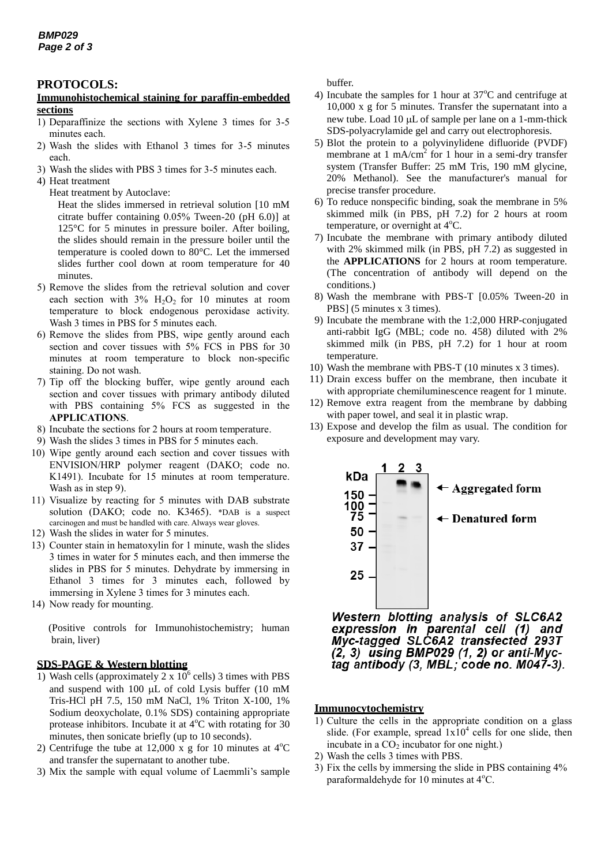### **PROTOCOLS:**

### **Immunohistochemical staining for paraffin-embedded sections**

- 1) Deparaffinize the sections with Xylene 3 times for 3-5 minutes each.
- 2) Wash the slides with Ethanol 3 times for 3-5 minutes each.
- 3) Wash the slides with PBS 3 times for 3-5 minutes each.
- 4) Heat treatment
	- Heat treatment by Autoclave:

Heat the slides immersed in retrieval solution [10 mM citrate buffer containing 0.05% Tween-20 (pH 6.0)] at 125°C for 5 minutes in pressure boiler. After boiling, the slides should remain in the pressure boiler until the temperature is cooled down to 80°C. Let the immersed slides further cool down at room temperature for 40 minutes.

- 5) Remove the slides from the retrieval solution and cover each section with  $3\%$  H<sub>2</sub>O<sub>2</sub> for 10 minutes at room temperature to block endogenous peroxidase activity. Wash 3 times in PBS for 5 minutes each.
- 6) Remove the slides from PBS, wipe gently around each section and cover tissues with 5% FCS in PBS for 30 minutes at room temperature to block non-specific staining. Do not wash.
- 7) Tip off the blocking buffer, wipe gently around each section and cover tissues with primary antibody diluted with PBS containing 5% FCS as suggested in the **APPLICATIONS**.
- 8) Incubate the sections for 2 hours at room temperature.
- 9) Wash the slides 3 times in PBS for 5 minutes each.
- 10) Wipe gently around each section and cover tissues with ENVISION/HRP polymer reagent (DAKO; code no. K1491). Incubate for 15 minutes at room temperature. Wash as in step 9).
- 11) Visualize by reacting for 5 minutes with DAB substrate solution (DAKO; code no. K3465). \*DAB is a suspect carcinogen and must be handled with care. Always wear gloves.
- 12) Wash the slides in water for 5 minutes.
- 13) Counter stain in hematoxylin for 1 minute, wash the slides 3 times in water for 5 minutes each, and then immerse the slides in PBS for 5 minutes. Dehydrate by immersing in Ethanol 3 times for 3 minutes each, followed by immersing in Xylene 3 times for 3 minutes each.
- 14) Now ready for mounting.

(Positive controls for Immunohistochemistry; human brain, liver)

#### **SDS-PAGE & Western blotting**

- 1) Wash cells (approximately  $2 \times 10^6$  cells) 3 times with PBS and suspend with 100  $\mu$ L of cold Lysis buffer (10 mM Tris-HCl pH 7.5, 150 mM NaCl, 1% Triton X-100, 1% Sodium deoxycholate, 0.1% SDS) containing appropriate protease inhibitors. Incubate it at  $4^{\circ}$ C with rotating for 30 minutes, then sonicate briefly (up to 10 seconds).
- 2) Centrifuge the tube at 12,000 x g for 10 minutes at  $4^{\circ}$ C and transfer the supernatant to another tube.
- 3) Mix the sample with equal volume of Laemmli's sample

buffer.

- 4) Incubate the samples for 1 hour at  $37^{\circ}$ C and centrifuge at 10,000 x g for 5 minutes. Transfer the supernatant into a new tube. Load 10  $\mu$ L of sample per lane on a 1-mm-thick SDS-polyacrylamide gel and carry out electrophoresis.
- 5) Blot the protein to a polyvinylidene difluoride (PVDF) membrane at 1 mA/cm<sup>2</sup> for 1 hour in a semi-dry transfer system (Transfer Buffer: 25 mM Tris, 190 mM glycine, 20% Methanol). See the manufacturer's manual for precise transfer procedure.
- 6) To reduce nonspecific binding, soak the membrane in 5% skimmed milk (in PBS, pH 7.2) for 2 hours at room temperature, or overnight at  $4^{\circ}$ C.
- 7) Incubate the membrane with primary antibody diluted with 2% skimmed milk (in PBS, pH 7.2) as suggested in the **APPLICATIONS** for 2 hours at room temperature. (The concentration of antibody will depend on the conditions.)
- 8) Wash the membrane with PBS-T [0.05% Tween-20 in PBS] (5 minutes x 3 times).
- 9) Incubate the membrane with the 1:2,000 HRP-conjugated anti-rabbit IgG (MBL; code no. 458) diluted with 2% skimmed milk (in PBS, pH 7.2) for 1 hour at room temperature.
- 10) Wash the membrane with PBS-T (10 minutes x 3 times).
- 11) Drain excess buffer on the membrane, then incubate it with appropriate chemiluminescence reagent for 1 minute.
- 12) Remove extra reagent from the membrane by dabbing with paper towel, and seal it in plastic wrap.
- 13) Expose and develop the film as usual. The condition for exposure and development may vary.



Western blotting analysis of SLC6A2<br>expression in parental cell (1) and<br>Myc-tagged SLC6A2 transfected 293T  $(2, 3)$  using BMP029  $(1, 2)$  or anti-Myctag antibody (3, MBL; code no. M047-3).

#### **Immunocytochemistry**

- 1) Culture the cells in the appropriate condition on a glass slide. (For example, spread  $1x10^4$  cells for one slide, then incubate in a  $CO<sub>2</sub>$  incubator for one night.)
- 2) Wash the cells 3 times with PBS.
- 3) Fix the cells by immersing the slide in PBS containing 4% paraformaldehyde for 10 minutes at  $4^{\circ}$ C.